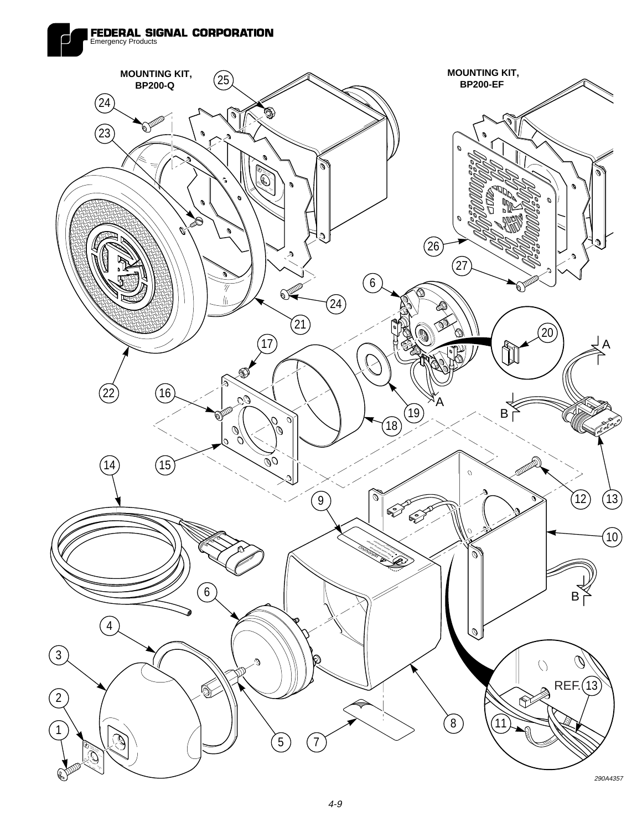